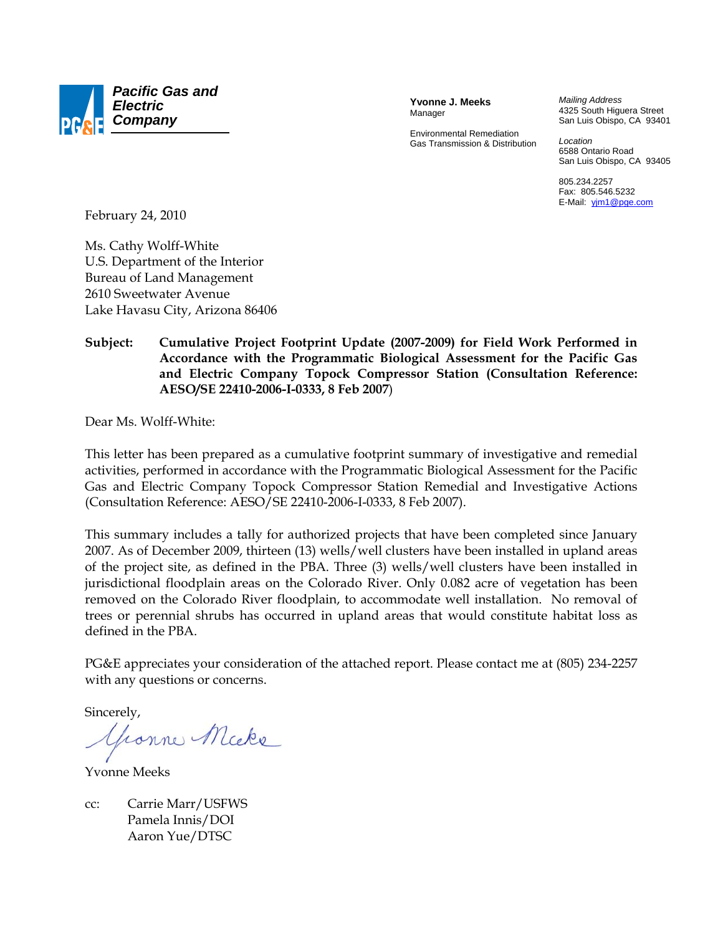

**Yvonne J. Meeks**  Manager

Environmental Remediation Gas Transmission & Distribution *Mailing Address*  4325 South Higuera Street San Luis Obispo, CA 93401

*Location*  6588 Ontario Road San Luis Obispo, CA 93405

805.234.2257 Fax: 805.546.5232 E-Mail: yjm1@pge.com

February 24, 2010

Ms. Cathy Wolff-White U.S. Department of the Interior Bureau of Land Management 2610 Sweetwater Avenue Lake Havasu City, Arizona 86406

## **Subject: Cumulative Project Footprint Update (2007-2009) for Field Work Performed in Accordance with the Programmatic Biological Assessment for the Pacific Gas and Electric Company Topock Compressor Station (Consultation Reference: AESO/SE 22410-2006-I-0333, 8 Feb 2007**)

Dear Ms. Wolff-White:

This letter has been prepared as a cumulative footprint summary of investigative and remedial activities, performed in accordance with the Programmatic Biological Assessment for the Pacific Gas and Electric Company Topock Compressor Station Remedial and Investigative Actions (Consultation Reference: AESO/SE 22410-2006-I-0333, 8 Feb 2007).

This summary includes a tally for authorized projects that have been completed since January 2007. As of December 2009, thirteen (13) wells/well clusters have been installed in upland areas of the project site, as defined in the PBA. Three (3) wells/well clusters have been installed in jurisdictional floodplain areas on the Colorado River. Only 0.082 acre of vegetation has been removed on the Colorado River floodplain, to accommodate well installation. No removal of trees or perennial shrubs has occurred in upland areas that would constitute habitat loss as defined in the PBA.

PG&E appreciates your consideration of the attached report. Please contact me at (805) 234-2257 with any questions or concerns.

Sincerely,

Gronne Micke

Yvonne Meeks

cc: Carrie Marr/USFWS Pamela Innis/DOI Aaron Yue/DTSC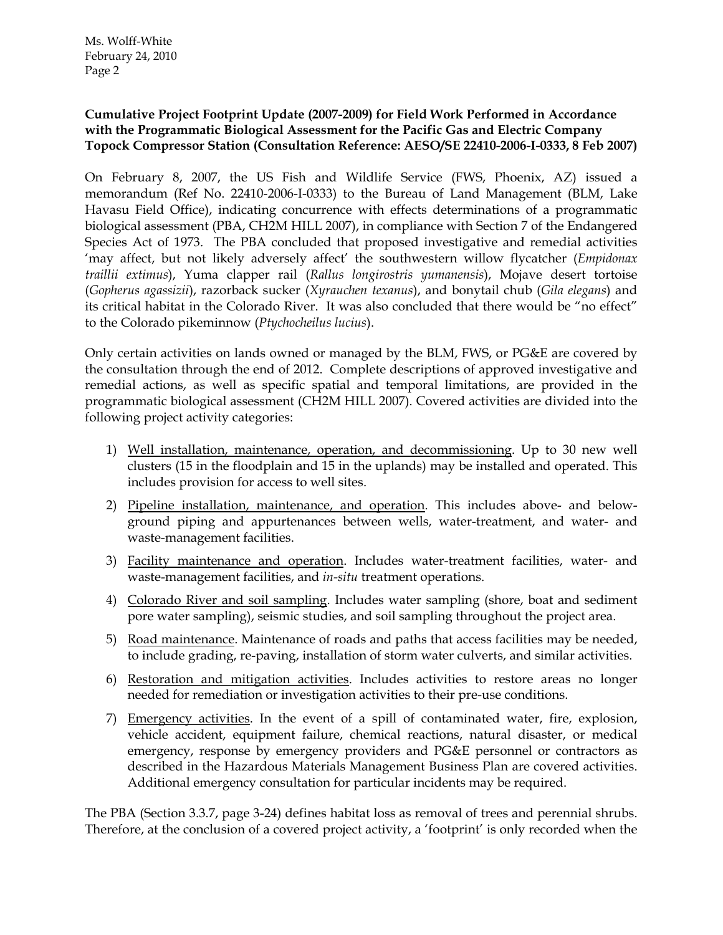## **Cumulative Project Footprint Update (2007-2009) for Field Work Performed in Accordance with the Programmatic Biological Assessment for the Pacific Gas and Electric Company Topock Compressor Station (Consultation Reference: AESO/SE 22410-2006-I-0333, 8 Feb 2007)**

On February 8, 2007, the US Fish and Wildlife Service (FWS, Phoenix, AZ) issued a memorandum (Ref No. 22410-2006-I-0333) to the Bureau of Land Management (BLM, Lake Havasu Field Office), indicating concurrence with effects determinations of a programmatic biological assessment (PBA, CH2M HILL 2007), in compliance with Section 7 of the Endangered Species Act of 1973. The PBA concluded that proposed investigative and remedial activities 'may affect, but not likely adversely affect' the southwestern willow flycatcher (*Empidonax traillii extimus*), Yuma clapper rail (*Rallus longirostris yumanensis*), Mojave desert tortoise (*Gopherus agassizii*), razorback sucker (*Xyrauchen texanus*), and bonytail chub (*Gila elegans*) and its critical habitat in the Colorado River. It was also concluded that there would be "no effect" to the Colorado pikeminnow (*Ptychocheilus lucius*).

Only certain activities on lands owned or managed by the BLM, FWS, or PG&E are covered by the consultation through the end of 2012. Complete descriptions of approved investigative and remedial actions, as well as specific spatial and temporal limitations, are provided in the programmatic biological assessment (CH2M HILL 2007). Covered activities are divided into the following project activity categories:

- 1) Well installation, maintenance, operation, and decommissioning. Up to 30 new well clusters (15 in the floodplain and 15 in the uplands) may be installed and operated. This includes provision for access to well sites.
- 2) Pipeline installation, maintenance, and operation. This includes above- and belowground piping and appurtenances between wells, water-treatment, and water- and waste-management facilities.
- 3) Facility maintenance and operation. Includes water-treatment facilities, water- and waste-management facilities, and *in-situ* treatment operations.
- 4) Colorado River and soil sampling. Includes water sampling (shore, boat and sediment pore water sampling), seismic studies, and soil sampling throughout the project area.
- 5) Road maintenance. Maintenance of roads and paths that access facilities may be needed, to include grading, re-paving, installation of storm water culverts, and similar activities.
- 6) Restoration and mitigation activities. Includes activities to restore areas no longer needed for remediation or investigation activities to their pre-use conditions.
- 7) Emergency activities. In the event of a spill of contaminated water, fire, explosion, vehicle accident, equipment failure, chemical reactions, natural disaster, or medical emergency, response by emergency providers and PG&E personnel or contractors as described in the Hazardous Materials Management Business Plan are covered activities. Additional emergency consultation for particular incidents may be required.

The PBA (Section 3.3.7, page 3-24) defines habitat loss as removal of trees and perennial shrubs. Therefore, at the conclusion of a covered project activity, a 'footprint' is only recorded when the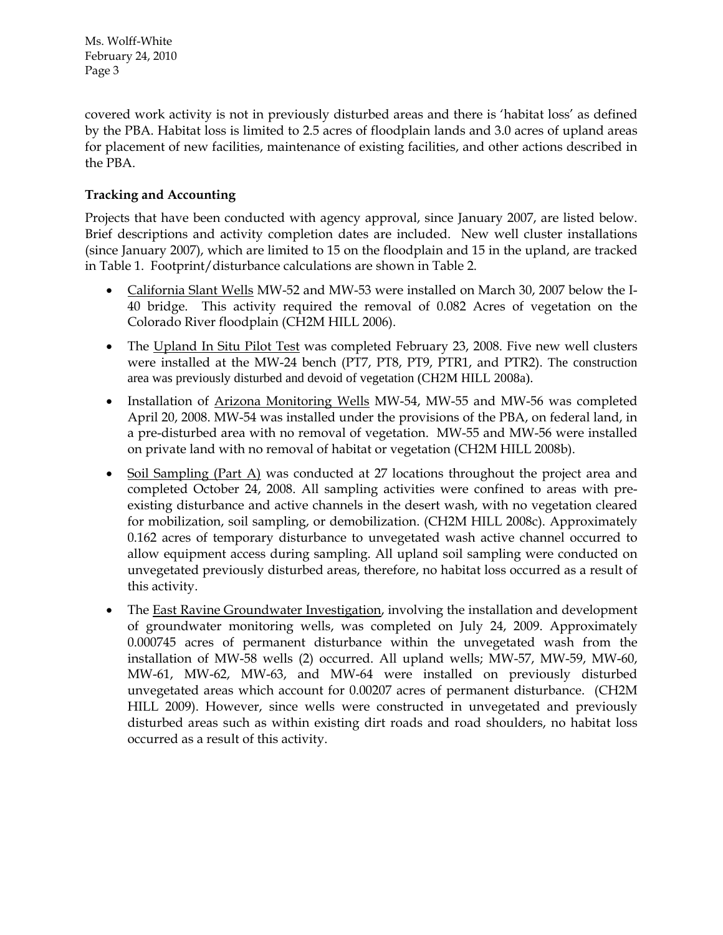covered work activity is not in previously disturbed areas and there is 'habitat loss' as defined by the PBA. Habitat loss is limited to 2.5 acres of floodplain lands and 3.0 acres of upland areas for placement of new facilities, maintenance of existing facilities, and other actions described in the PBA.

# **Tracking and Accounting**

Projects that have been conducted with agency approval, since January 2007, are listed below. Brief descriptions and activity completion dates are included. New well cluster installations (since January 2007), which are limited to 15 on the floodplain and 15 in the upland, are tracked in Table 1. Footprint/disturbance calculations are shown in Table 2.

- California Slant Wells MW-52 and MW-53 were installed on March 30, 2007 below the I-40 bridge. This activity required the removal of 0.082 Acres of vegetation on the Colorado River floodplain (CH2M HILL 2006).
- The Upland In Situ Pilot Test was completed February 23, 2008. Five new well clusters were installed at the MW-24 bench (PT7, PT8, PT9, PTR1, and PTR2). The construction area was previously disturbed and devoid of vegetation (CH2M HILL 2008a).
- Installation of Arizona Monitoring Wells MW-54, MW-55 and MW-56 was completed April 20, 2008. MW-54 was installed under the provisions of the PBA, on federal land, in a pre-disturbed area with no removal of vegetation. MW-55 and MW-56 were installed on private land with no removal of habitat or vegetation (CH2M HILL 2008b).
- Soil Sampling (Part A) was conducted at 27 locations throughout the project area and completed October 24, 2008. All sampling activities were confined to areas with preexisting disturbance and active channels in the desert wash, with no vegetation cleared for mobilization, soil sampling, or demobilization. (CH2M HILL 2008c). Approximately 0.162 acres of temporary disturbance to unvegetated wash active channel occurred to allow equipment access during sampling. All upland soil sampling were conducted on unvegetated previously disturbed areas, therefore, no habitat loss occurred as a result of this activity.
- The East Ravine Groundwater Investigation, involving the installation and development of groundwater monitoring wells, was completed on July 24, 2009. Approximately 0.000745 acres of permanent disturbance within the unvegetated wash from the installation of MW-58 wells (2) occurred. All upland wells; MW-57, MW-59, MW-60, MW-61, MW-62, MW-63, and MW-64 were installed on previously disturbed unvegetated areas which account for 0.00207 acres of permanent disturbance. (CH2M HILL 2009). However, since wells were constructed in unvegetated and previously disturbed areas such as within existing dirt roads and road shoulders, no habitat loss occurred as a result of this activity.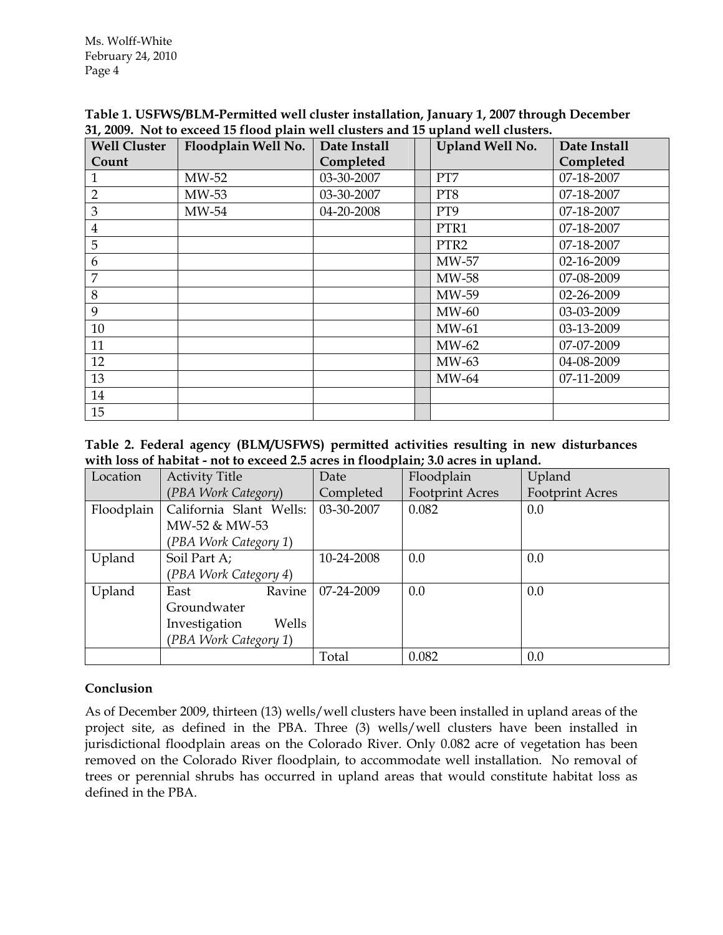| <b>Well Cluster</b> | Floodplain Well No. | Date Install | Upland Well No.  | Date Install |
|---------------------|---------------------|--------------|------------------|--------------|
| Count               |                     | Completed    |                  | Completed    |
|                     | MW-52               | 03-30-2007   | PT7              | 07-18-2007   |
| $\overline{2}$      | MW-53               | 03-30-2007   | PT8              | 07-18-2007   |
| 3                   | $MW-54$             | 04-20-2008   | PT9              | 07-18-2007   |
| $\overline{4}$      |                     |              | PTR1             | 07-18-2007   |
| 5                   |                     |              | PTR <sub>2</sub> | 07-18-2007   |
| 6                   |                     |              | MW-57            | 02-16-2009   |
| 7                   |                     |              | MW-58            | 07-08-2009   |
| 8                   |                     |              | MW-59            | 02-26-2009   |
| 9                   |                     |              | MW-60            | 03-03-2009   |
| 10                  |                     |              | $MW-61$          | 03-13-2009   |
| 11                  |                     |              | MW-62            | 07-07-2009   |
| 12                  |                     |              | MW-63            | 04-08-2009   |
| 13                  |                     |              | MW-64            | 07-11-2009   |
| 14                  |                     |              |                  |              |
| 15                  |                     |              |                  |              |

**Table 1. USFWS/BLM-Permitted well cluster installation, January 1, 2007 through December 31, 2009. Not to exceed 15 flood plain well clusters and 15 upland well clusters.** 

**Table 2. Federal agency (BLM/USFWS) permitted activities resulting in new disturbances with loss of habitat - not to exceed 2.5 acres in floodplain; 3.0 acres in upland.** 

| Location   | <b>Activity Title</b>   | Date       | Floodplain             | Upland                 |
|------------|-------------------------|------------|------------------------|------------------------|
|            | (PBA Work Category)     | Completed  | <b>Footprint Acres</b> | <b>Footprint Acres</b> |
| Floodplain | California Slant Wells: | 03-30-2007 | 0.082                  | 0.0                    |
|            | MW-52 & MW-53           |            |                        |                        |
|            | (PBA Work Category 1)   |            |                        |                        |
| Upland     | Soil Part A;            | 10-24-2008 | 0.0                    | 0.0                    |
|            | (PBA Work Category 4)   |            |                        |                        |
| Upland     | Ravine<br>East          | 07-24-2009 | 0.0                    | 0.0                    |
|            | Groundwater             |            |                        |                        |
|            | Wells<br>Investigation  |            |                        |                        |
|            | (PBA Work Category 1)   |            |                        |                        |
|            |                         | Total      | 0.082                  | 0.0                    |

## **Conclusion**

As of December 2009, thirteen (13) wells/well clusters have been installed in upland areas of the project site, as defined in the PBA. Three (3) wells/well clusters have been installed in jurisdictional floodplain areas on the Colorado River. Only 0.082 acre of vegetation has been removed on the Colorado River floodplain, to accommodate well installation. No removal of trees or perennial shrubs has occurred in upland areas that would constitute habitat loss as defined in the PBA.